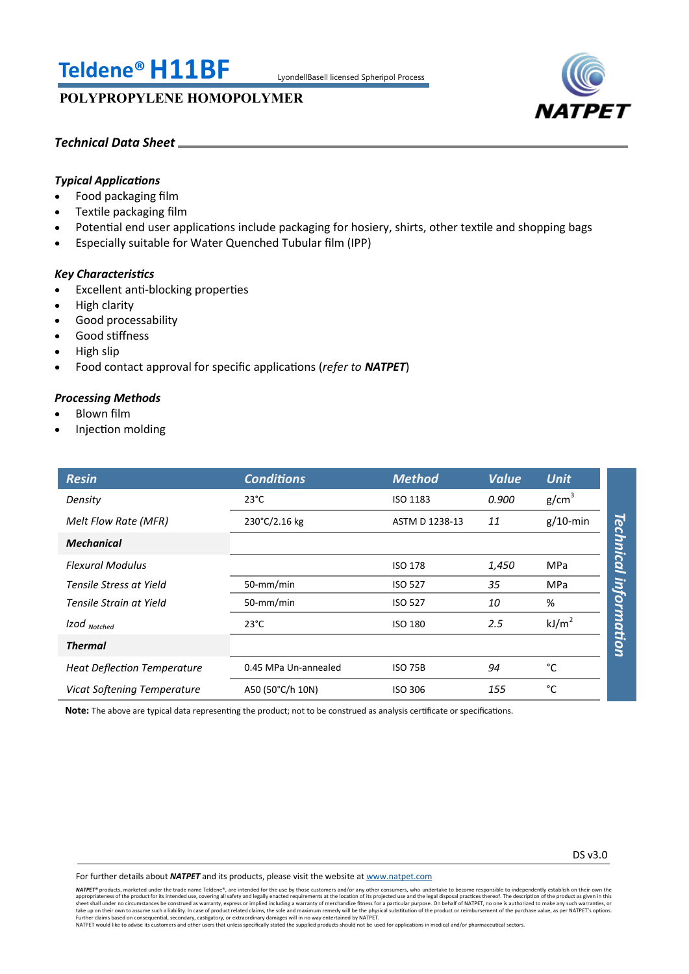# **Teldene®H11BF** LyondellBasell licensed Spheripol Process

# **POLYPROPYLENE HOMOPOLYMER**



# *Technical Data Sheet*

# *Typical Applications*

- Food packaging film
- Textile packaging film
- Potential end user applications include packaging for hosiery, shirts, other textile and shopping bags
- Especially suitable for Water Quenched Tubular film (IPP)

## *Key Characteristics*

- Excellent anti-blocking properties
- High clarity
- Good processability
- Good stiffness
- High slip
- Food contact approval for specific applications (*refer to NATPET*)

## *Processing Methods*

- Blown film
- Injection molding

| <b>Resin</b>                       | <b>Conditions</b>    | <b>Method</b>   | <b>Value</b> | <b>Unit</b>       |             |
|------------------------------------|----------------------|-----------------|--------------|-------------------|-------------|
| Density                            | $23^{\circ}$ C       | <b>ISO 1183</b> | 0.900        | g/cm <sup>3</sup> |             |
| Melt Flow Rate (MFR)               | 230°C/2.16 kg        | ASTM D 1238-13  | 11           | $g/10$ -min       |             |
| <b>Mechanical</b>                  |                      |                 |              |                   | Technical   |
| <b>Flexural Modulus</b>            |                      | <b>ISO 178</b>  | 1,450        | <b>MPa</b>        |             |
| Tensile Stress at Yield            | 50-mm/min            | <b>ISO 527</b>  | 35           | <b>MPa</b>        |             |
| Tensile Strain at Yield            | 50-mm/min            | <b>ISO 527</b>  | 10           | %                 |             |
| Izod Notched                       | $23^{\circ}$ C       | <b>ISO 180</b>  | 2.5          | kJ/m <sup>2</sup> | information |
| <b>Thermal</b>                     |                      |                 |              |                   |             |
| <b>Heat Deflection Temperature</b> | 0.45 MPa Un-annealed | <b>ISO 75B</b>  | 94           | °C                |             |
| Vicat Softening Temperature        | A50 (50°C/h 10N)     | <b>ISO 306</b>  | 155          | °C                |             |

**Note:** The above are typical data representing the product; not to be construed as analysis certificate or specifications.

For further details about *NATPET* and its products, please visit the website at [www.natpet.com](http://www.natpet.com)

**NATPET®** products, marketed under the trade name Teldene®, are intended for the use by those customers and/or any other consumers, who undertake to become responsible to independently establish on their own the trade name